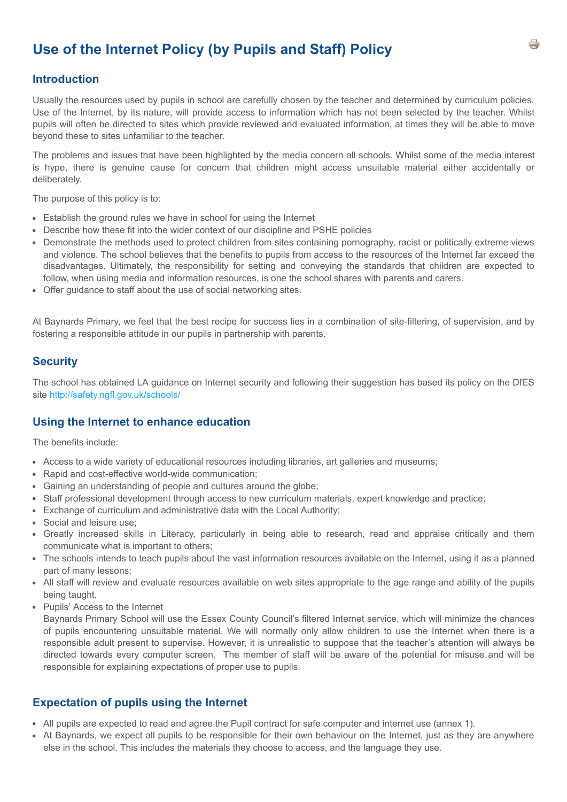# **Use of the Internet Policy (by Pupils and Staff) Policy**

### **Introduction**

Usually the resources used by pupils in school are carefully chosen by the teacher and determined by curriculum policies. Use of the Internet, by its nature, will provide access to information which has not been selected by the teacher. Whilst pupils will often be directed to sites which provide reviewed and evaluated information, at times they will be able to move beyond these to sites unfamiliar to the teacher.

The problems and issues that have been highlighted by the media concern all schools. Whilst some of the media interest is hype, there is genuine cause for concern that children might access unsuitable material either accidentally or deliberately.

The purpose of this policy is to:

- Establish the ground rules we have in school for using the Internet
- Describe how these fit into the wider context of our discipline and PSHE policies
- Demonstrate the methods used to protect children from sites containing pornography, racist or politically extreme views and violence. The school believes that the benefits to pupils from access to the resources of the Internet far exceed the disadvantages. Ultimately, the responsibility for setting and conveying the standards that children are expected to follow, when using media and information resources, is one the school shares with parents and carers.
- Offer guidance to staff about the use of social networking sites.

At Baynards Primary, we feel that the best recipe for success lies in a combination of site-filtering, of supervision, and by fostering a responsible attitude in our pupils in partnership with parents.

#### **Security**

The school has obtained LA guidance on Internet security and following their suggestion has based its policy on the DfES site<http://safety.ngfl.gov.uk/schools/>

#### **Using the Internet to enhance education**

The benefits include:

- Access to a wide variety of educational resources including libraries, art galleries and museums;
- Rapid and cost-effective world-wide communication;
- Gaining an understanding of people and cultures around the globe;
- Staff professional development through access to new curriculum materials, expert knowledge and practice;
- Exchange of curriculum and administrative data with the Local Authority;
- Social and leisure use;
- Greatly increased skills in Literacy, particularly in being able to research, read and appraise critically and them communicate what is important to others;
- The schools intends to teach pupils about the vast information resources available on the Internet, using it as a planned part of many lessons;
- All staff will review and evaluate resources available on web sites appropriate to the age range and ability of the pupils being taught.
- Pupils' Access to the Internet

Baynards Primary School will use the Essex County Council's filtered Internet service, which will minimize the chances of pupils encountering unsuitable material. We will normally only allow children to use the Internet when there is a responsible adult present to supervise. However, it is unrealistic to suppose that the teacher's attention will always be directed towards every computer screen. The member of staff will be aware of the potential for misuse and will be responsible for explaining expectations of proper use to pupils.

#### **Expectation of pupils using the Internet**

- All pupils are expected to read and agree the Pupil contract for safe computer and internet use (annex 1).
- At Baynards, we expect all pupils to be responsible for their own behaviour on the Internet, just as they are anywhere else in the school. This includes the materials they choose to access, and the language they use.